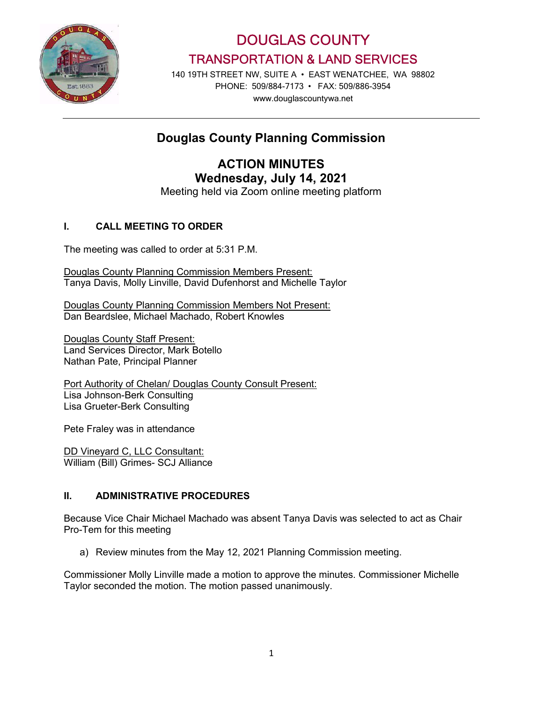

DOUGLAS COUNTY TRANSPORTATION & LAND SERVICES

140 19TH STREET NW, SUITE A • EAST WENATCHEE, WA 98802 PHONE: 509/884-7173 • FAX: 509/886-3954 www.douglascountywa.net

# Douglas County Planning Commission

ACTION MINUTES Wednesday, July 14, 2021

Meeting held via Zoom online meeting platform

## I. CALL MEETING TO ORDER

The meeting was called to order at 5:31 P.M.

Douglas County Planning Commission Members Present: Tanya Davis, Molly Linville, David Dufenhorst and Michelle Taylor

Douglas County Planning Commission Members Not Present: Dan Beardslee, Michael Machado, Robert Knowles

Douglas County Staff Present: Land Services Director, Mark Botello Nathan Pate, Principal Planner

Port Authority of Chelan/ Douglas County Consult Present: Lisa Johnson-Berk Consulting Lisa Grueter-Berk Consulting

Pete Fraley was in attendance

DD Vineyard C, LLC Consultant: William (Bill) Grimes- SCJ Alliance

### II. ADMINISTRATIVE PROCEDURES

Because Vice Chair Michael Machado was absent Tanya Davis was selected to act as Chair Pro-Tem for this meeting

a) Review minutes from the May 12, 2021 Planning Commission meeting.

Commissioner Molly Linville made a motion to approve the minutes. Commissioner Michelle Taylor seconded the motion. The motion passed unanimously.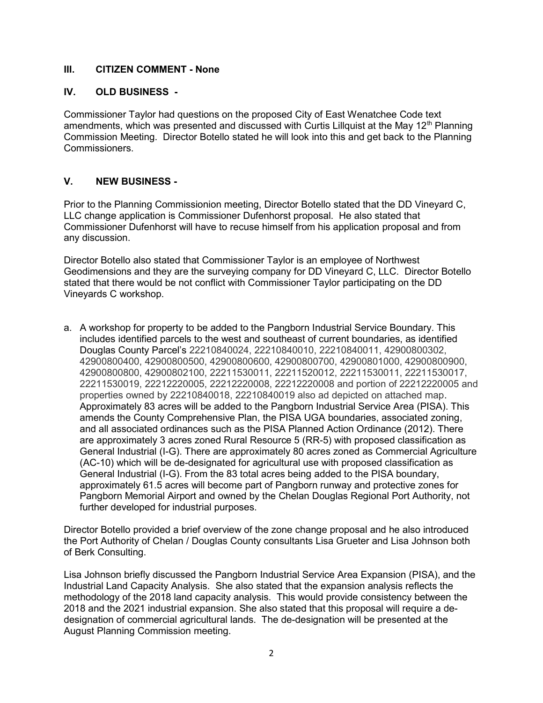#### III. CITIZEN COMMENT - None

#### IV. OLD BUSINESS -

Commissioner Taylor had questions on the proposed City of East Wenatchee Code text amendments, which was presented and discussed with Curtis Lillquist at the May  $12<sup>th</sup>$  Planning Commission Meeting. Director Botello stated he will look into this and get back to the Planning Commissioners.

#### V. NEW BUSINESS -

Prior to the Planning Commissionion meeting, Director Botello stated that the DD Vineyard C, LLC change application is Commissioner Dufenhorst proposal. He also stated that Commissioner Dufenhorst will have to recuse himself from his application proposal and from any discussion.

Director Botello also stated that Commissioner Taylor is an employee of Northwest Geodimensions and they are the surveying company for DD Vineyard C, LLC. Director Botello stated that there would be not conflict with Commissioner Taylor participating on the DD Vineyards C workshop.

a. A workshop for property to be added to the Pangborn Industrial Service Boundary. This includes identified parcels to the west and southeast of current boundaries, as identified Douglas County Parcel's 22210840024, 22210840010, 22210840011, 42900800302, 42900800400, 42900800500, 42900800600, 42900800700, 42900801000, 42900800900, 42900800800, 42900802100, 22211530011, 22211520012, 22211530011, 22211530017, 22211530019, 22212220005, 22212220008, 22212220008 and portion of 22212220005 and properties owned by 22210840018, 22210840019 also ad depicted on attached map. Approximately 83 acres will be added to the Pangborn Industrial Service Area (PISA). This amends the County Comprehensive Plan, the PISA UGA boundaries, associated zoning, and all associated ordinances such as the PISA Planned Action Ordinance (2012). There are approximately 3 acres zoned Rural Resource 5 (RR-5) with proposed classification as General Industrial (I-G). There are approximately 80 acres zoned as Commercial Agriculture (AC-10) which will be de-designated for agricultural use with proposed classification as General Industrial (I-G). From the 83 total acres being added to the PISA boundary, approximately 61.5 acres will become part of Pangborn runway and protective zones for Pangborn Memorial Airport and owned by the Chelan Douglas Regional Port Authority, not further developed for industrial purposes.

Director Botello provided a brief overview of the zone change proposal and he also introduced the Port Authority of Chelan / Douglas County consultants Lisa Grueter and Lisa Johnson both of Berk Consulting.

Lisa Johnson briefly discussed the Pangborn Industrial Service Area Expansion (PISA), and the Industrial Land Capacity Analysis. She also stated that the expansion analysis reflects the methodology of the 2018 land capacity analysis. This would provide consistency between the 2018 and the 2021 industrial expansion. She also stated that this proposal will require a dedesignation of commercial agricultural lands. The de-designation will be presented at the August Planning Commission meeting.